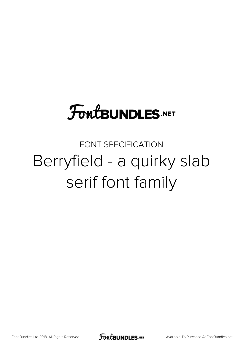### **FoutBUNDLES.NET**

#### FONT SPECIFICATION Berryfield - a quirky slab serif font family

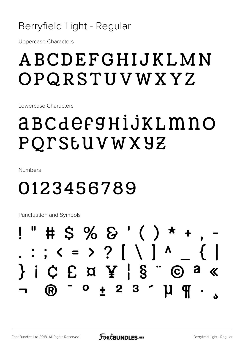#### Berryfield Light - Regular

Uppercase Characters

### ABCDEFGHIJKLMN OPQRSTUVWXYZ

Lowercase Characters

### abcdefghijklmno pqrstuvwxyz

Numbers

### 0123456789

Punctuation and Symbols

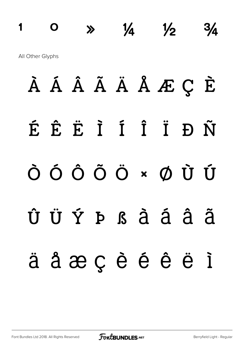### $1 \t 0 \t \gg \t 1/4 \t 1/2 \t 3/4$ All Other Glyphs

À Á Â Ã Ä Å Æ Ç È É Ê Ë Ì Í Î Ï Ð Ñ Ò Ó Ô Õ Ö × Ø Ù Ú Û Ü Ý Þ ß à á â ã ä å æ ç è é ê ë ì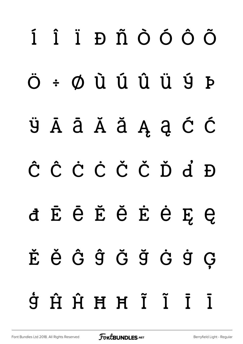# í î ï ð ñ ò ó ô õ ö ÷ ø ù ú û ü ý þ ÿ Ā ā Ă ă Ą ą Ć ć Ĉ ĉ Ċ ċ Č č Ď ď Đ đ Ē ē Ĕ ĕ Ė ė Ę ę Ě ě Ĝ ĝ Ğ ğ Ġ ġ Ģ ģ Ĥ ĥ Ħ ħ Ĩ ĩ Ī ī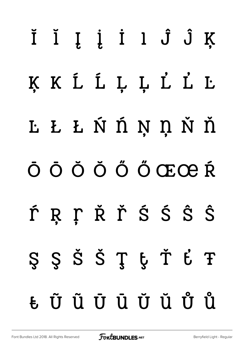# Ĭ ĭ Į į İ ı Ĵ ĵ Ķ ķ ĸ Ĺ ĺ Ļ ļ Ľ ľ Ŀ ŀ Ł ł Ń ń Ņ ņ Ň ň Ō ō Ŏ ŏ Ő ő Œœ Ŕ ŕ Ŗ ŗ Ř ř Ś ś Ŝ ŝ Ş ş Š š Ţ ţ Ť ť Ŧ ŧ Ũ ũ Ū ū Ŭ ŭ Ů ů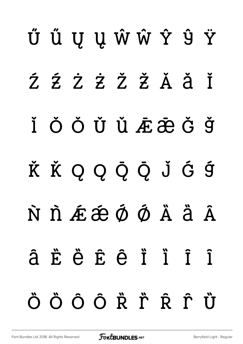# Ű ű Ų ų Ŵ ŵ Ŷ ŷ Ÿ Ź Ź Ż Ž Ž Ă Ă Ĭ Ĭ Ŏ Ŏ Ŭ Ŭ Æ Æ Ğ Ğ Ǩ ǩ Ǫ ǫ Ǭ ǭ ǰ Ǵ ǵ N N Æ Æ Ø Ø Ä Ä Ä â Ë ë Ë ë Ï Ï Î Î ÖÖÕÕŘŤŘŤÜ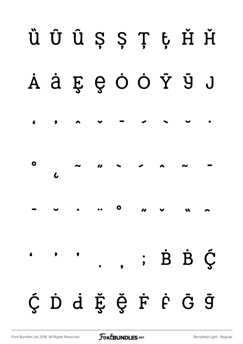

[Font Bundles Ltd 2018. All Rights Reserved](https://fontbundles.net/) **FoutBUNDLES.NET** Serryfield Light - Regular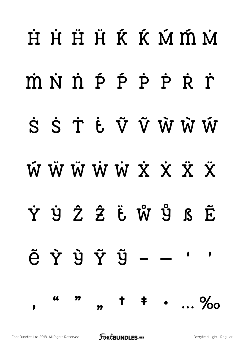## $H$   $H$   $H$   $H$   $\tilde{K}$   $\tilde{K}$   $\tilde{M}$   $\tilde{M}$   $\tilde{M}$  $m \dot{N} \dot{n} \dot{p} \dot{p} \dot{p} \dot{p} \dot{r}$ S S T Ė V V W W W  $\ddot{W} \ddot{W} \ddot{W} \ddot{W} \ddot{W} \ddot{X} \ddot{X} \ddot{X} \ddot{X}$ Ẏ ẏ Ẑ ẑ ẗ ẘ ẙ ẞ Ẽ  $\tilde{e}$   $\tilde{Y}$   $\tilde{Y}$   $\tilde{Y}$   $\tilde{Y}$   $\cdot$   $\cdot$  $\bullet$ " *"* " " † ‡ • … ‰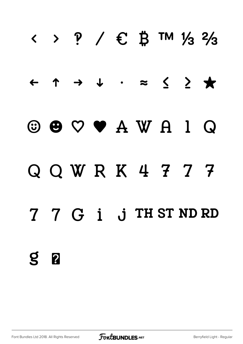## $\langle \rangle$  ? /  $\in$   $\sharp$  TM  $\frac{1}{3}$   $\frac{2}{3}$ ← ↑ → ↓ ∙ ≈ ≤ ≥ ★ ☺ ☻ ♡ ♥ Q Q W R K 4 7 7 7 7 7 G i j TH ST ND RD  $S<sub>2</sub>$

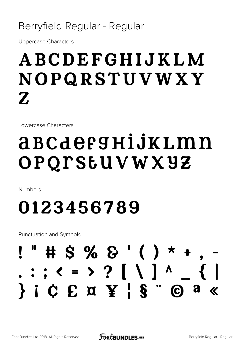#### Berryfield Regular - Regular

Uppercase Characters

### ABCDEFGHIJKLM NOPQRSTUVWXY Z

Lowercase Characters

### abcdefghijklmn opqrstuvwxyz

Numbers

### 0123456789

Punctuation and Symbols

### $"$  # \$ % & '( ) \*  $: ; < = > ?$  [ \ ] ^ } ¡ ¢ £ ¤ ¥ ¦ § ¨ © ª «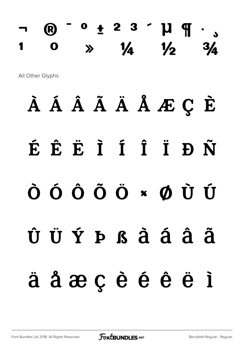### ¬ ® ¯ ° ± ² ³ ´ µ ¶ · ¸  $1 \t 0 \t \gg \t 1/4 \t 1/2 \t 3/4$

All Other Glyphs

### À Á Â Ã Ä Å Æ Ç È

### É Ê Ë Ì Í Î Ï Ð Ñ

### Ò Ó Ô Õ Ö × Ø Ù Ú

## Û Ü Ý Þ ß à á â ã ä å æ ç è é ê ë ì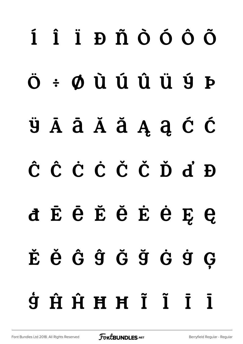# í î ï ð ñ ò ó ô õ ö ÷ ø ù ú û ü ý þ ÿ Ā ā Ă ă Ą ą Ć ć Ĉ ĉ Ċ ċ Č č Ď ď Đ đ Ē ē Ĕ ĕ Ė ė Ę ę Ě ě Ĝ ĝ Ğ ğ Ġ ġ Ģ  $\dot{g}$   $\dot{H}$   $\dot{H}$   $H$   $\ddot{I}$   $\ddot{I}$   $\ddot{I}$   $\ddot{I}$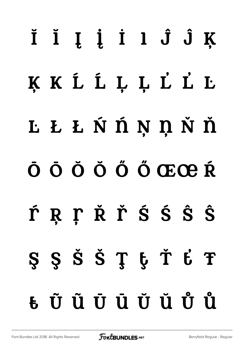# Ĭ ĭ Į į İ ı Ĵ ĵ Ķ ķ ĸ Ĺ ĺ Ļ ļ Ľ ľ Ŀ ŀ Ł ł Ń ń Ņ ņ Ň ň Ō ō Ŏ ŏ Ő ő Œœ Ŕ ŕ Ŗ ŗ Ř ř Ś ś Ŝ ŝ Ş ş Š š Ţ ţ Ť ť Ŧ ŧ Ũ ũ Ū ū Ŭ ŭ Ů ů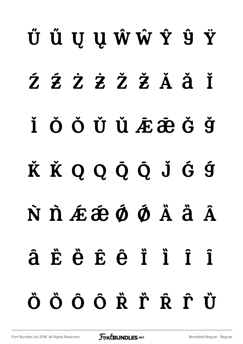# Ű ű Ų ų Ŵ ŵ Ŷ ŷ Ÿ  $Z$   $Z$   $Z$   $Z$   $Z$   $X$   $X$   $X$   $X$  $\check{I}$   $\check{O}$   $\check{O}$   $\check{U}$   $\check{U}$   $\check{E}$   $\check{E}$   $\check{G}$   $\check{G}$   $\check{G}$ K K Q Q Q Q J G 9 N D É É Ó Ó À Ä Ä â Ë ë Ë ë Ë i ï ï î ÖÖÕÕŘŤŔŤÜ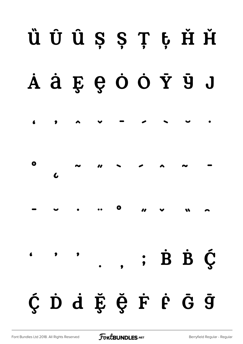## ȕ Ȗ ȗ Ș ș Ț ț Ȟ ȟ  $\dot{A}$  à  $\ddot{B}$   $\theta$  Ò Ò Ý Ÿ J ʻ ' ˆ ˇ ˉ ˊ ˋ ˘ ˙ ˚ ˛ ˜ ˝ ̀ ́ ̂ ̃ ̄ ̅ ̆ ̇ ̈ ̊ ̋ ̌ ̏ ̑  $\overline{\phantom{a}}$  $\dot{B}$   $\dot{B}$   $\dot{C}$  ${\rm \check{C}}$   ${\rm \check{D}}$   ${\rm \check{d}}$   ${\rm \check{E}}$   ${\rm \check{G}}$   ${\rm \check{F}}$   ${\rm \check{F}}$   ${\rm \check{F}}$   ${\rm \check{G}}$   ${\rm \check{G}}$   ${\rm \check{g}}$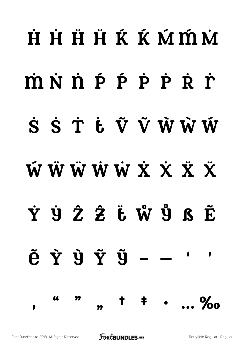## $\dot{H}$   $\dot{H}$   $\ddot{H}$   $\dot{H}$   $\dot{K}$   $\dot{K}$   $\dot{M}$   $\dot{M}$   $\dot{M}$  $\dot{m}$   $\dot{N}$   $\dot{n}$   $\dot{p}$   $\dot{p}$   $\dot{p}$   $\dot{p}$   $\dot{p}$   $\dot{r}$ S S T E V V W W W **WWWWWXXXX** Ẏ ẏ Ẑ ẑ ẗ ẘ ẙ ẞ Ẽ  $\tilde{e}$   $\tilde{Y}$   $\tilde{Y}$   $\tilde{Y}$   $\tilde{Y}$   $\cdot$   $\cdot$  $\bullet$ " *"* " ,, t ‡ … ‰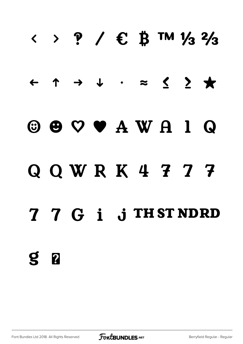## $\langle \rangle$  ? /  $\in$   $\sharp$  TM  $\frac{1}{3}$   $\frac{2}{3}$ ← ↑ → ↓ ∙ ≈ ≤ ≥ ★ ☺ ☻ ♡ ♥

### Q Q W R K 4 7 7 7

### 7 7 G i j THSTNDRD

 $S<sub>2</sub>$ 

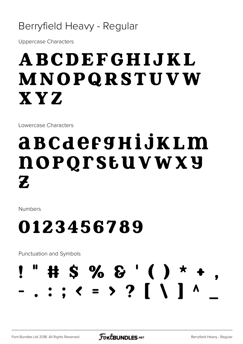#### Berryfield Heavy - Regular

Uppercase Characters

### ABCDEFGHIJKL MNOPQRSTUVW XYZ

Lowercase Characters

### abcdefghijklm nopqrstuvwxy Z.

Numbers

### 0123456789

Punctuation and Symbols

### $# S \% S' ( ) *$  $\cdot$  : ;  $\langle$  = > ? [ \ ] ^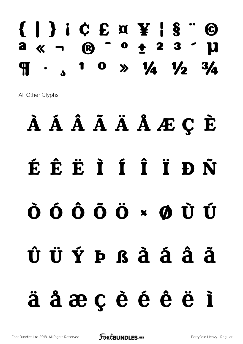### { | } ¡ ¢ £ ¤ ¥ ¦ § ¨ ©  $a \times a \cdot b \cdot b \cdot c + 23$  $\frac{1}{2}$  1 0  $\frac{1}{4}$   $\frac{1}{4}$   $\frac{1}{2}$   $\frac{3}{4}$

All Other Glyphs

## À Á Â Ã Ä Å Æ Ç È É Ê Ë Ì Í Î Ï Ð Ñ Ò Ó Ô Õ Ö × Ø Ù Ú Û Ü Ý Þ ß à á â ã ä å æ ç è é ê ë ì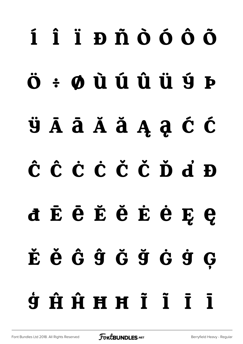# í î ï ð ñ ò ó ô õ  $\ddot{\mathbf{O}}$   $\div$   $\mathbf{O}$   $\dot{\mathbf{U}}$   $\dot{\mathbf{U}}$   $\dot{\mathbf{U}}$   $\dot{\mathbf{U}}$   $\dot{\mathbf{U}}$   $\dot{\mathbf{U}}$   $\dot{\mathbf{V}}$ ÿ Ā ā Ă ă Ą ą Ć ć Ĉ ĉ Ċ ċ Č č Ď ď Đ đ Ē ē Ĕ ĕ Ė ė Ę ę Ě ě Ĝ ĝ Ğ ğ Ġ ġ Ģ  $\dot{y}$   $\dot{H}$   $\dot{H}$   $H$   $\ddot{I}$   $\ddot{I}$   $\ddot{I}$   $\ddot{I}$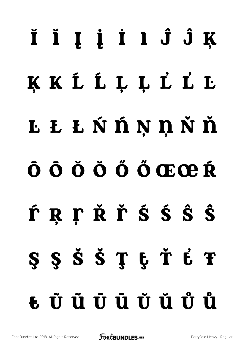# Ĭ ĭ Į į İ ı Ĵ ĵ Ķ ķ ĸ Ĺ ĺ Ļ ļ Ľ ľ Ŀ ŀ Ł ł Ń ń Ņ ņ Ň ň Ō ō Ŏ ŏ Ő ő Œœ Ŕ ŕ Ŗ ŗ Ř ř ś ś ŝ ŝ Ş Ş Š Š Ţ ţ Ť Ė Ŧ ŧ Ũ ũ Ū ū Ŭ ŭ Ů ů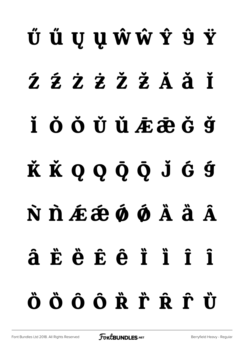# Ű ű Ų ų Ŵŵ Ŷ ŷ Ÿ ŹŹ ŻŻ ŽŽĂ Ă Ť Ĭ Ŏ Ŏ Ŭ Ü ÆÆĞ Ğ K K Q Q Q Q J G 9 N D É É Ó Ó Å Ä Ä â Ë ë Ë ë ë ï ï ï î ÖÖŐÔŘŤŔŤÜ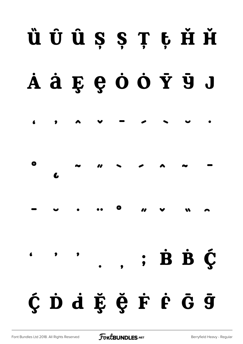## ȕ Ȗ ȗ Ș ș Ț ț Ȟ ȟ  $\mathbf{\dot{A}} \mathbf{\dot{a}} \mathbf{\dot{g}} \mathbf{\dot{g}} \mathbf{\dot{c}} \mathbf{\dot{c}} \mathbf{\dot{d}} \mathbf{\dot{e}}$ ʻ ' ˆ ˇ ˉ ˊ ˋ ˘ ˙ ˚ ˛ ˜ ˝ ̀ ́ ̂ ̃ ̄  $\overline{\phantom{a}}$   $\overline{\phantom{a}}$   $\overline{\phantom{a}}$   $\overline{\phantom{a}}$   $\overline{\phantom{a}}$   $\overline{\phantom{a}}$   $\overline{\phantom{a}}$   $\overline{\phantom{a}}$   $\overline{\phantom{a}}$   $\overline{\phantom{a}}$   $\overline{\phantom{a}}$   $\overline{\phantom{a}}$   $\overline{\phantom{a}}$   $\overline{\phantom{a}}$   $\overline{\phantom{a}}$   $\overline{\phantom{a}}$   $\overline{\phantom{a}}$   $\overline{\phantom{a}}$   $\overline{\$  $\overline{\phantom{a}}$  $\cdot$   $\dot{B}$   $\dot{B}$   $\dot{C}$ Ç D d E Ç F F G G

[Font Bundles Ltd 2018. All Rights Reserved](https://fontbundles.net/) **FoutBUNDLES.NET** Serryfield Heavy - Regular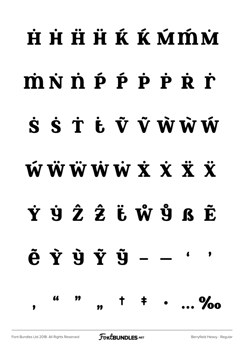## **HHHKKKKWWW**  $m \dot{N} \dot{n} \dot{p} \dot{p} \dot{p} \dot{r} \dot{r}$ S S T Ł Ũ V WWW **WWWWWXXXX** Ẏ ẏ Ẑ ẑ ẗ ẘ ẙ ẞ Ẽ  $\tilde{e}$   $\tilde{Y}$   $\tilde{Y}$   $\tilde{Y}$   $\tilde{Y}$   $\tilde{Y}$   $\tilde{Y}$   $\tilde{Y}$   $\tilde{Y}$   $\tilde{Y}$   $\tilde{Y}$   $\tilde{Y}$   $\tilde{Y}$   $\tilde{Y}$   $\tilde{Y}$   $\tilde{Y}$   $\tilde{Y}$   $\tilde{Y}$   $\tilde{Y}$   $\tilde{Y}$   $\tilde{Y}$   $\tilde{Y}$   $\tilde{Y}$   $\tilde{Y}$   $\tilde{$  $\bullet$ " *"* "  $,$   $,$   $,$   $+$ …… ‰